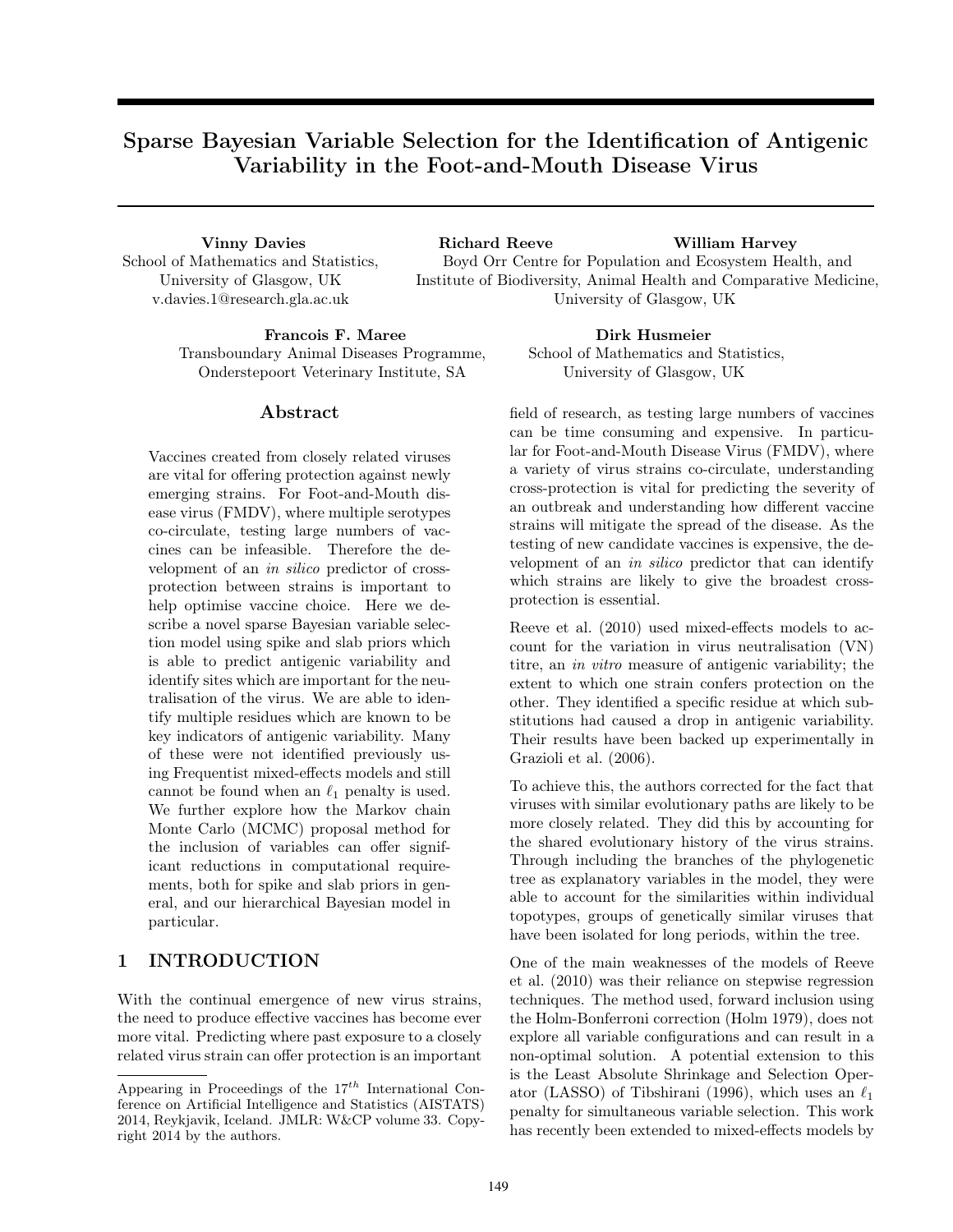# Sparse Bayesian Variable Selection for the Identification of Antigenic Variability in the Foot-and-Mouth Disease Virus

School of Mathematics and Statistics, University of Glasgow, UK v.davies.1@research.gla.ac.uk

Vinny Davies Richard Reeve William Harvey Boyd Orr Centre for Population and Ecosystem Health, and Institute of Biodiversity, Animal Health and Comparative Medicine, University of Glasgow, UK

Francois F. Maree Dirk Husmeier Transboundary Animal Diseases Programme, Onderstepoort Veterinary Institute, SA

## Abstract

Vaccines created from closely related viruses are vital for offering protection against newly emerging strains. For Foot-and-Mouth disease virus (FMDV), where multiple serotypes co-circulate, testing large numbers of vaccines can be infeasible. Therefore the development of an in silico predictor of crossprotection between strains is important to help optimise vaccine choice. Here we describe a novel sparse Bayesian variable selection model using spike and slab priors which is able to predict antigenic variability and identify sites which are important for the neutralisation of the virus. We are able to identify multiple residues which are known to be key indicators of antigenic variability. Many of these were not identified previously using Frequentist mixed-effects models and still cannot be found when an  $\ell_1$  penalty is used. We further explore how the Markov chain Monte Carlo (MCMC) proposal method for the inclusion of variables can offer significant reductions in computational requirements, both for spike and slab priors in general, and our hierarchical Bayesian model in particular.

## 1 INTRODUCTION

With the continual emergence of new virus strains, the need to produce effective vaccines has become ever more vital. Predicting where past exposure to a closely related virus strain can offer protection is an important

School of Mathematics and Statistics, University of Glasgow, UK

field of research, as testing large numbers of vaccines can be time consuming and expensive. In particular for Foot-and-Mouth Disease Virus (FMDV), where a variety of virus strains co-circulate, understanding cross-protection is vital for predicting the severity of an outbreak and understanding how different vaccine strains will mitigate the spread of the disease. As the testing of new candidate vaccines is expensive, the development of an in silico predictor that can identify which strains are likely to give the broadest crossprotection is essential.

Reeve et al. (2010) used mixed-effects models to account for the variation in virus neutralisation (VN) titre, an in vitro measure of antigenic variability; the extent to which one strain confers protection on the other. They identified a specific residue at which substitutions had caused a drop in antigenic variability. Their results have been backed up experimentally in Grazioli et al. (2006).

To achieve this, the authors corrected for the fact that viruses with similar evolutionary paths are likely to be more closely related. They did this by accounting for the shared evolutionary history of the virus strains. Through including the branches of the phylogenetic tree as explanatory variables in the model, they were able to account for the similarities within individual topotypes, groups of genetically similar viruses that have been isolated for long periods, within the tree.

One of the main weaknesses of the models of Reeve et al. (2010) was their reliance on stepwise regression techniques. The method used, forward inclusion using the Holm-Bonferroni correction (Holm 1979), does not explore all variable configurations and can result in a non-optimal solution. A potential extension to this is the Least Absolute Shrinkage and Selection Operator (LASSO) of Tibshirani (1996), which uses an  $\ell_1$ penalty for simultaneous variable selection. This work has recently been extended to mixed-effects models by

Appearing in Proceedings of the  $17^{th}$  International Conference on Artificial Intelligence and Statistics (AISTATS) 2014, Reykjavik, Iceland. JMLR: W&CP volume 33. Copyright 2014 by the authors.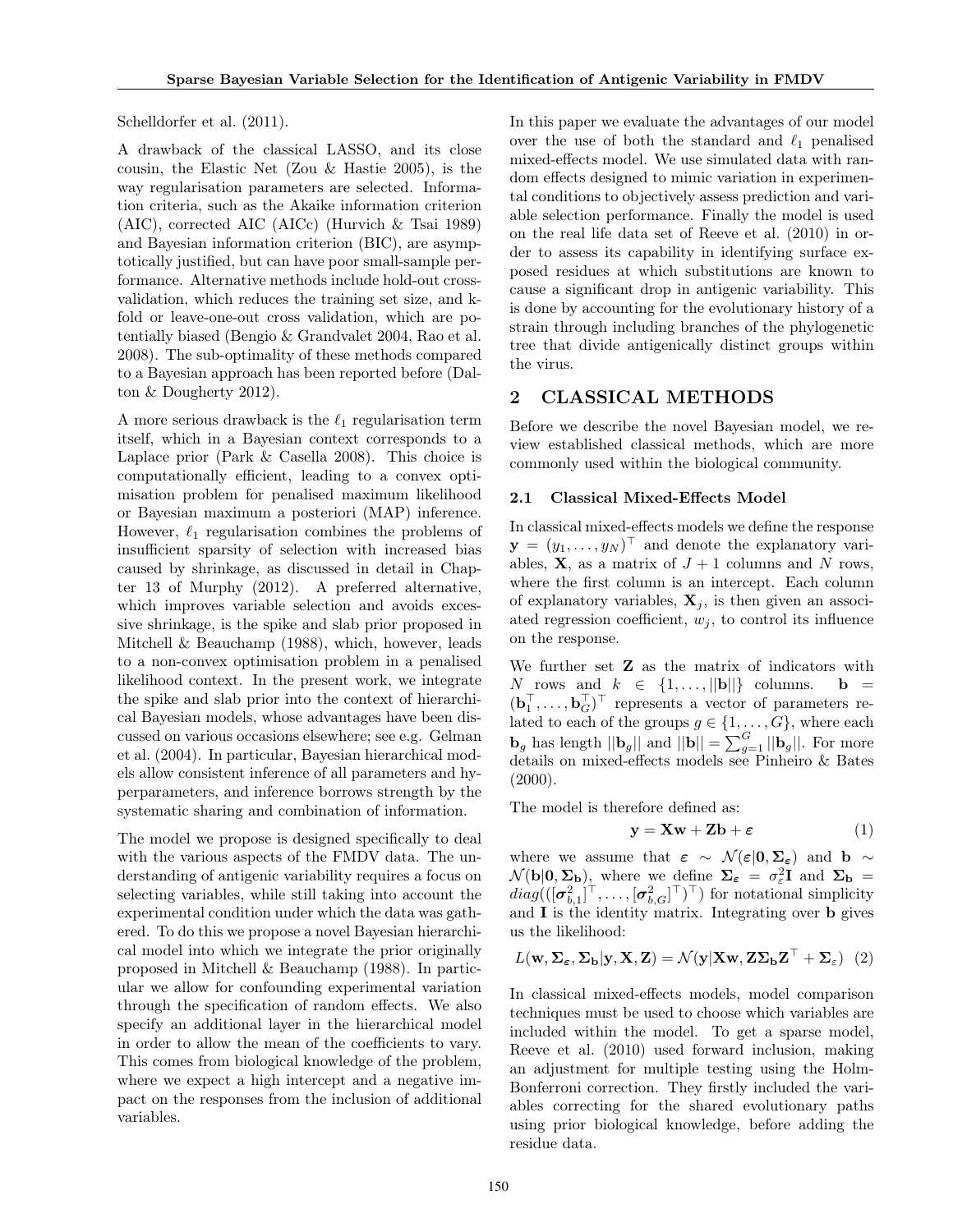Schelldorfer et al. (2011).

A drawback of the classical LASSO, and its close cousin, the Elastic Net (Zou & Hastie 2005), is the way regularisation parameters are selected. Information criteria, such as the Akaike information criterion (AIC), corrected AIC (AICc) (Hurvich & Tsai 1989) and Bayesian information criterion (BIC), are asymptotically justified, but can have poor small-sample performance. Alternative methods include hold-out crossvalidation, which reduces the training set size, and kfold or leave-one-out cross validation, which are potentially biased (Bengio & Grandvalet 2004, Rao et al. 2008). The sub-optimality of these methods compared to a Bayesian approach has been reported before (Dalton & Dougherty 2012).

A more serious drawback is the  $\ell_1$  regularisation term itself, which in a Bayesian context corresponds to a Laplace prior (Park  $&$  Casella 2008). This choice is computationally efficient, leading to a convex optimisation problem for penalised maximum likelihood or Bayesian maximum a posteriori (MAP) inference. However,  $\ell_1$  regularisation combines the problems of insufficient sparsity of selection with increased bias caused by shrinkage, as discussed in detail in Chapter 13 of Murphy (2012). A preferred alternative, which improves variable selection and avoids excessive shrinkage, is the spike and slab prior proposed in Mitchell & Beauchamp (1988), which, however, leads to a non-convex optimisation problem in a penalised likelihood context. In the present work, we integrate the spike and slab prior into the context of hierarchical Bayesian models, whose advantages have been discussed on various occasions elsewhere; see e.g. Gelman et al. (2004). In particular, Bayesian hierarchical models allow consistent inference of all parameters and hyperparameters, and inference borrows strength by the systematic sharing and combination of information.

The model we propose is designed specifically to deal with the various aspects of the FMDV data. The understanding of antigenic variability requires a focus on selecting variables, while still taking into account the experimental condition under which the data was gathered. To do this we propose a novel Bayesian hierarchical model into which we integrate the prior originally proposed in Mitchell & Beauchamp (1988). In particular we allow for confounding experimental variation through the specification of random effects. We also specify an additional layer in the hierarchical model in order to allow the mean of the coefficients to vary. This comes from biological knowledge of the problem, where we expect a high intercept and a negative impact on the responses from the inclusion of additional variables.

In this paper we evaluate the advantages of our model over the use of both the standard and  $\ell_1$  penalised mixed-effects model. We use simulated data with random effects designed to mimic variation in experimental conditions to objectively assess prediction and variable selection performance. Finally the model is used on the real life data set of Reeve et al. (2010) in order to assess its capability in identifying surface exposed residues at which substitutions are known to cause a significant drop in antigenic variability. This is done by accounting for the evolutionary history of a strain through including branches of the phylogenetic tree that divide antigenically distinct groups within the virus.

## 2 CLASSICAL METHODS

Before we describe the novel Bayesian model, we review established classical methods, which are more commonly used within the biological community.

#### 2.1 Classical Mixed-Effects Model

In classical mixed-effects models we define the response  $\mathbf{y} = (y_1, \dots, y_N)^\top$  and denote the explanatory variables,  $X$ , as a matrix of  $J + 1$  columns and N rows, where the first column is an intercept. Each column of explanatory variables,  $X_i$ , is then given an associated regression coefficient,  $w_i$ , to control its influence on the response.

We further set  $Z$  as the matrix of indicators with N rows and  $k \in \{1, \ldots, ||\mathbf{b}||\}$  columns.  $\mathbf{b} =$  $(\mathbf{b}_1^\top, \ldots, \mathbf{b}_G^\top)^\top$  represents a vector of parameters related to each of the groups  $g \in \{1, \ldots, G\}$ , where each  $\mathbf{b}_g$  has length  $||\mathbf{b}_g||$  and  $||\mathbf{b}|| = \sum_{g=1}^G ||\mathbf{b}_g||$ . For more details on mixed-effects models see Pinheiro & Bates  $(2000).$ 

The model is therefore defined as:

$$
y = Xw + Zb + \varepsilon \tag{1}
$$

where we assume that  $\varepsilon \sim \mathcal{N}(\varepsilon|0,\Sigma_{\varepsilon})$  and b ∼  $\mathcal{N}(\mathbf{b}|\mathbf{0}, \mathbf{\Sigma}_{\mathbf{b}})$ , where we define  $\mathbf{\Sigma}_{\varepsilon} = \sigma_{\varepsilon}^2 \mathbf{I}$  and  $\mathbf{\Sigma}_{\mathbf{b}} =$  $diag((\left[\pmb{\sigma}_{b,1}^2\right]^{\top},\ldots,\left[\pmb{\sigma}_{b,G}^2\right]^{\top})^{\top})$  for notational simplicity and I is the identity matrix. Integrating over b gives us the likelihood:

$$
L(\mathbf{w}, \Sigma_{\varepsilon}, \Sigma_{\mathbf{b}} | \mathbf{y}, \mathbf{X}, \mathbf{Z}) = \mathcal{N}(\mathbf{y} | \mathbf{X}\mathbf{w}, \mathbf{Z}\Sigma_{\mathbf{b}}\mathbf{Z}^{\top} + \Sigma_{\varepsilon})
$$
(2)

In classical mixed-effects models, model comparison techniques must be used to choose which variables are included within the model. To get a sparse model, Reeve et al. (2010) used forward inclusion, making an adjustment for multiple testing using the Holm-Bonferroni correction. They firstly included the variables correcting for the shared evolutionary paths using prior biological knowledge, before adding the residue data.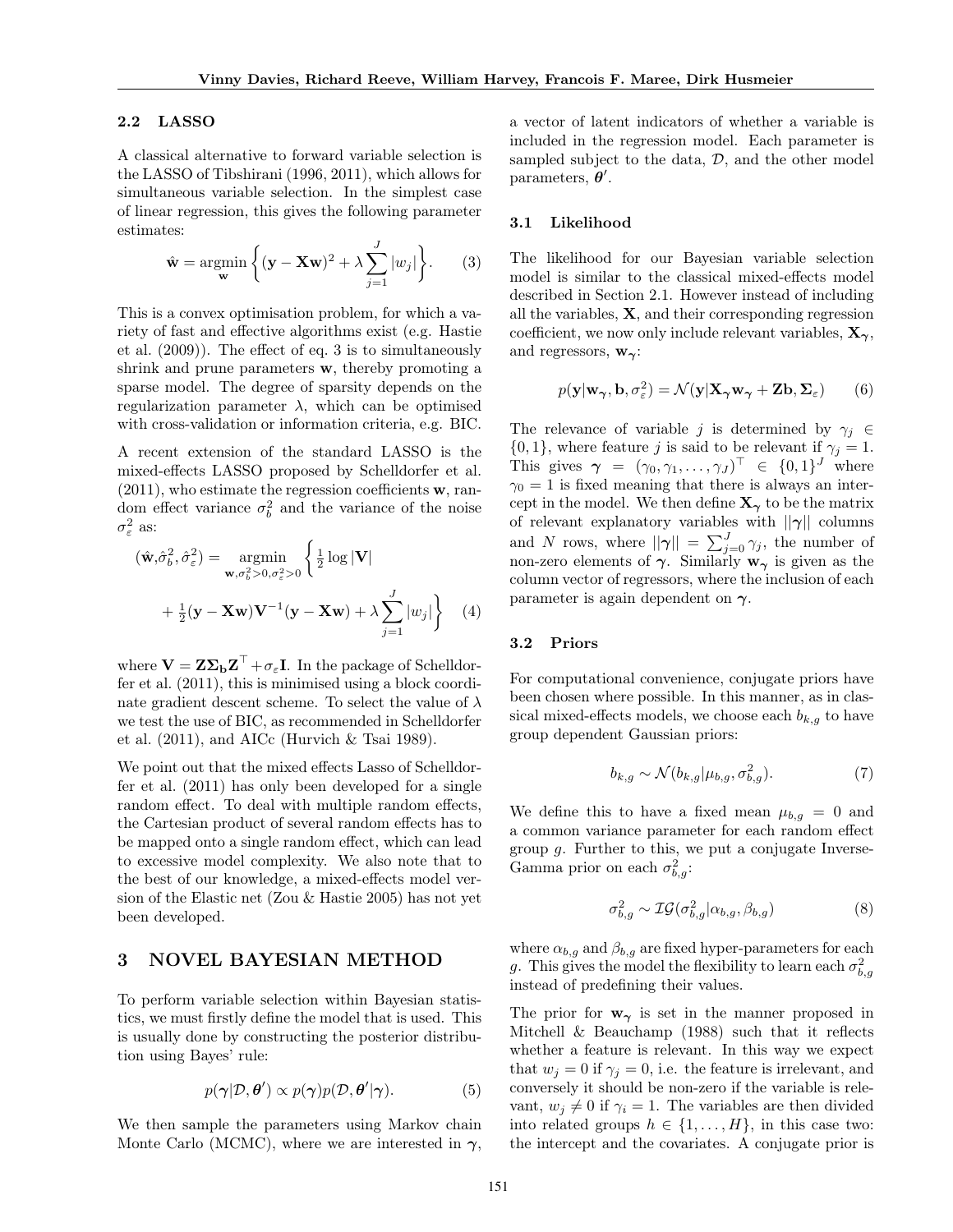#### 2.2 LASSO

A classical alternative to forward variable selection is the LASSO of Tibshirani (1996, 2011), which allows for simultaneous variable selection. In the simplest case of linear regression, this gives the following parameter estimates:

$$
\hat{\mathbf{w}} = \underset{\mathbf{w}}{\operatorname{argmin}} \left\{ (\mathbf{y} - \mathbf{X}\mathbf{w})^2 + \lambda \sum_{j=1}^{J} |w_j| \right\}. \tag{3}
$$

This is a convex optimisation problem, for which a variety of fast and effective algorithms exist (e.g. Hastie et al. (2009)). The effect of eq. 3 is to simultaneously shrink and prune parameters w, thereby promoting a sparse model. The degree of sparsity depends on the regularization parameter  $\lambda$ , which can be optimised with cross-validation or information criteria, e.g. BIC.

A recent extension of the standard LASSO is the mixed-effects LASSO proposed by Schelldorfer et al.  $(2011)$ , who estimate the regression coefficients **w**, random effect variance  $\sigma_b^2$  and the variance of the noise  $\sigma_{\varepsilon}^2$  as:

$$
(\hat{\mathbf{w}}, \hat{\sigma}_b^2, \hat{\sigma}_\varepsilon^2) = \underset{\mathbf{w}, \sigma_b^2 > 0, \sigma_\varepsilon^2 > 0}{\text{argmin}} \left\{ \frac{1}{2} \log |\mathbf{V}| + \frac{1}{2} (\mathbf{y} - \mathbf{X} \mathbf{w}) \mathbf{V}^{-1} (\mathbf{y} - \mathbf{X} \mathbf{w}) + \lambda \sum_{j=1}^J |w_j| \right\} \tag{4}
$$

where  $\mathbf{V} = \mathbf{Z} \mathbf{\Sigma}_{\mathbf{b}} \mathbf{Z}^{\top} + \sigma_{\varepsilon} \mathbf{I}$ . In the package of Schelldorfer et al. (2011), this is minimised using a block coordinate gradient descent scheme. To select the value of  $\lambda$ we test the use of BIC, as recommended in Schelldorfer et al. (2011), and AICc (Hurvich & Tsai 1989).

We point out that the mixed effects Lasso of Schelldorfer et al. (2011) has only been developed for a single random effect. To deal with multiple random effects, the Cartesian product of several random effects has to be mapped onto a single random effect, which can lead to excessive model complexity. We also note that to the best of our knowledge, a mixed-effects model version of the Elastic net (Zou & Hastie 2005) has not yet been developed.

## 3 NOVEL BAYESIAN METHOD

To perform variable selection within Bayesian statistics, we must firstly define the model that is used. This is usually done by constructing the posterior distribution using Bayes' rule:

$$
p(\boldsymbol{\gamma}|\mathcal{D},\boldsymbol{\theta}') \propto p(\boldsymbol{\gamma})p(\mathcal{D},\boldsymbol{\theta}'|\boldsymbol{\gamma}). \tag{5}
$$

We then sample the parameters using Markov chain Monte Carlo (MCMC), where we are interested in  $\gamma$ , a vector of latent indicators of whether a variable is included in the regression model. Each parameter is sampled subject to the data,  $\mathcal{D}$ , and the other model parameters,  $\boldsymbol{\theta}'$ .

#### 3.1 Likelihood

The likelihood for our Bayesian variable selection model is similar to the classical mixed-effects model described in Section 2.1. However instead of including all the variables,  $X$ , and their corresponding regression coefficient, we now only include relevant variables,  $X_{\gamma}$ , and regressors,  $w_{\gamma}$ :

$$
p(\mathbf{y}|\mathbf{w}_{\boldsymbol{\gamma}}, \mathbf{b}, \sigma_{\varepsilon}^2) = \mathcal{N}(\mathbf{y}|\mathbf{X}_{\boldsymbol{\gamma}}\mathbf{w}_{\boldsymbol{\gamma}} + \mathbf{Z}\mathbf{b}, \boldsymbol{\Sigma}_{\varepsilon})
$$
(6)

The relevance of variable j is determined by  $\gamma_i \in$  $\{0, 1\}$ , where feature j is said to be relevant if  $\gamma_j = 1$ . This gives  $\boldsymbol{\gamma} = (\gamma_0, \gamma_1, \ldots, \gamma_J)^\top \in \{0, 1\}^J$  where  $\gamma_0 = 1$  is fixed meaning that there is always an intercept in the model. We then define  $X_{\gamma}$  to be the matrix of relevant explanatory variables with  $||\gamma||$  columns and N rows, where  $||\gamma|| = \sum_{j=0}^{J} \gamma_j$ , the number of non-zero elements of  $\gamma$ . Similarly  $w_{\gamma}$  is given as the column vector of regressors, where the inclusion of each parameter is again dependent on  $\gamma$ .

#### 3.2 Priors

For computational convenience, conjugate priors have been chosen where possible. In this manner, as in classical mixed-effects models, we choose each  $b_{k,g}$  to have group dependent Gaussian priors:

$$
b_{k,g} \sim \mathcal{N}(b_{k,g}|\mu_{b,g}, \sigma_{b,g}^2). \tag{7}
$$

We define this to have a fixed mean  $\mu_{b,g} = 0$  and a common variance parameter for each random effect group  $q$ . Further to this, we put a conjugate Inverse-Gamma prior on each  $\sigma_{b,g}^2$ :

$$
\sigma_{b,g}^2 \sim \mathcal{IG}(\sigma_{b,g}^2 | \alpha_{b,g}, \beta_{b,g}) \tag{8}
$$

where  $\alpha_{b,g}$  and  $\beta_{b,g}$  are fixed hyper-parameters for each g. This gives the model the flexibility to learn each  $\sigma_{b,g}^2$ instead of predefining their values.

The prior for  $w_{\gamma}$  is set in the manner proposed in Mitchell & Beauchamp (1988) such that it reflects whether a feature is relevant. In this way we expect that  $w_j = 0$  if  $\gamma_j = 0$ , i.e. the feature is irrelevant, and conversely it should be non-zero if the variable is relevant,  $w_i \neq 0$  if  $\gamma_i = 1$ . The variables are then divided into related groups  $h \in \{1, \ldots, H\}$ , in this case two: the intercept and the covariates. A conjugate prior is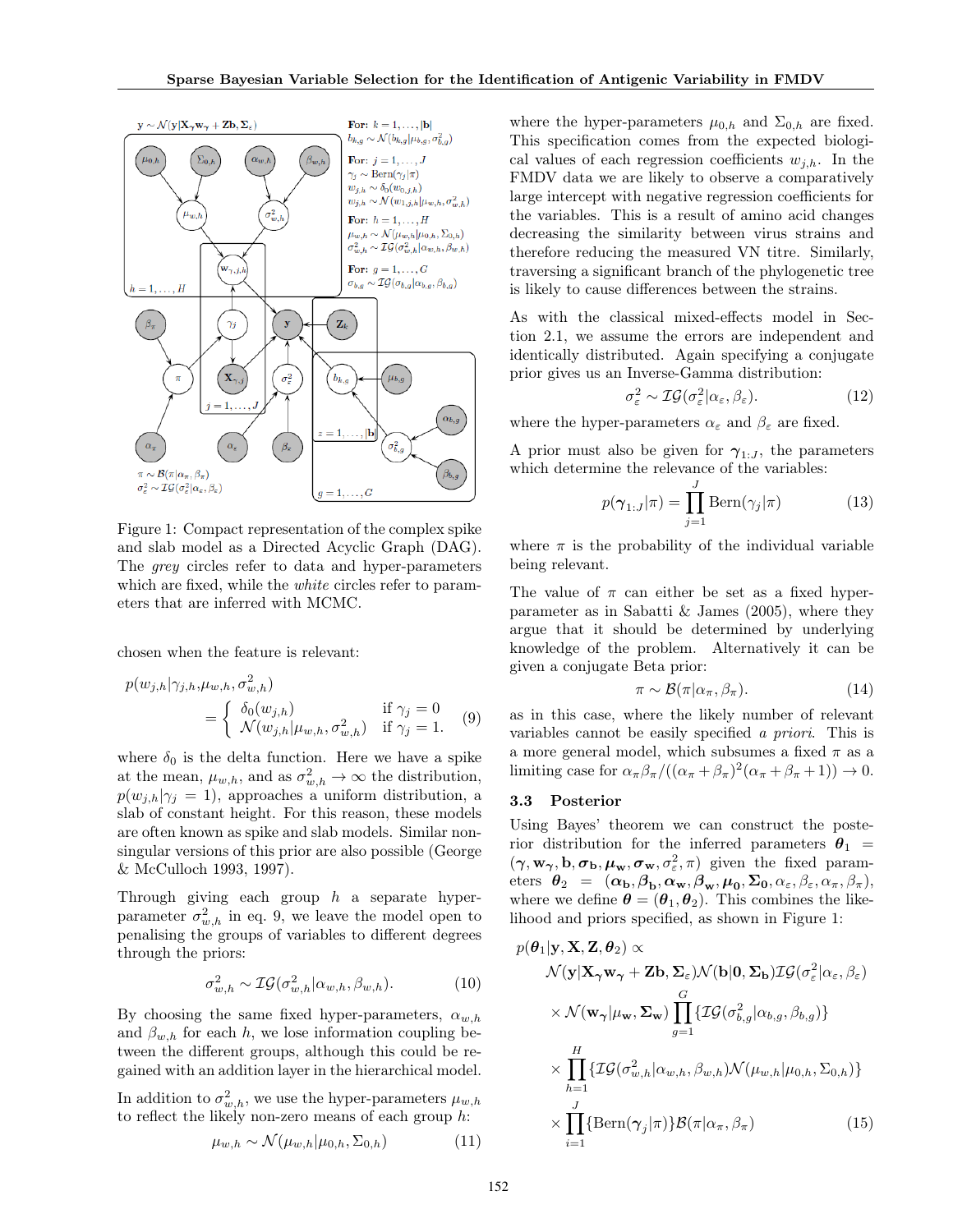

Figure 1: Compact representation of the complex spike and slab model as a Directed Acyclic Graph (DAG). The grey circles refer to data and hyper-parameters which are fixed, while the *white* circles refer to parameters that are inferred with MCMC.

chosen when the feature is relevant:

$$
p(w_{j,h}|\gamma_{j,h}, \mu_{w,h}, \sigma_{w,h}^2)
$$
  
= 
$$
\begin{cases} \delta_0(w_{j,h}) & \text{if } \gamma_j = 0\\ \mathcal{N}(w_{j,h}|\mu_{w,h}, \sigma_{w,h}^2) & \text{if } \gamma_j = 1. \end{cases}
$$
 (9)

where  $\delta_0$  is the delta function. Here we have a spike at the mean,  $\mu_{w,h}$ , and as  $\sigma_{w,h}^2 \to \infty$  the distribution,  $p(w_{j,h}|\gamma_j = 1)$ , approaches a uniform distribution, a slab of constant height. For this reason, these models are often known as spike and slab models. Similar nonsingular versions of this prior are also possible (George & McCulloch 1993, 1997).

Through giving each group  $h$  a separate hyperparameter  $\sigma_{w,h}^2$  in eq. 9, we leave the model open to penalising the groups of variables to different degrees through the priors:

$$
\sigma_{w,h}^2 \sim \mathcal{IG}(\sigma_{w,h}^2 | \alpha_{w,h}, \beta_{w,h}). \tag{10}
$$

By choosing the same fixed hyper-parameters,  $\alpha_{w,h}$ and  $\beta_{w,h}$  for each h, we lose information coupling between the different groups, although this could be regained with an addition layer in the hierarchical model.

In addition to  $\sigma_{w,h}^2$ , we use the hyper-parameters  $\mu_{w,h}$ to reflect the likely non-zero means of each group  $h$ :

$$
\mu_{w,h} \sim \mathcal{N}(\mu_{w,h}|\mu_{0,h}, \Sigma_{0,h})
$$
\n(11)

where the hyper-parameters  $\mu_{0,h}$  and  $\Sigma_{0,h}$  are fixed. This specification comes from the expected biological values of each regression coefficients  $w_{i,h}$ . In the FMDV data we are likely to observe a comparatively large intercept with negative regression coefficients for the variables. This is a result of amino acid changes decreasing the similarity between virus strains and therefore reducing the measured VN titre. Similarly, traversing a significant branch of the phylogenetic tree is likely to cause differences between the strains.

As with the classical mixed-effects model in Section 2.1, we assume the errors are independent and identically distributed. Again specifying a conjugate prior gives us an Inverse-Gamma distribution:

$$
\sigma_{\varepsilon}^{2} \sim \mathcal{IG}(\sigma_{\varepsilon}^{2} | \alpha_{\varepsilon}, \beta_{\varepsilon}). \tag{12}
$$

where the hyper-parameters  $\alpha_{\varepsilon}$  and  $\beta_{\varepsilon}$  are fixed.

A prior must also be given for  $\gamma_{1:J}$ , the parameters which determine the relevance of the variables:

$$
p(\gamma_{1:J}|\pi) = \prod_{j=1}^{J} \text{Bern}(\gamma_j|\pi)
$$
 (13)

where  $\pi$  is the probability of the individual variable being relevant.

The value of  $\pi$  can either be set as a fixed hyperparameter as in Sabatti & James  $(2005)$ , where they argue that it should be determined by underlying knowledge of the problem. Alternatively it can be given a conjugate Beta prior:

$$
\pi \sim \mathcal{B}(\pi|\alpha_{\pi}, \beta_{\pi}).\tag{14}
$$

as in this case, where the likely number of relevant variables cannot be easily specified a priori. This is a more general model, which subsumes a fixed  $\pi$  as a limiting case for  $\alpha_{\pi}\beta_{\pi}/((\alpha_{\pi}+\beta_{\pi})^2(\alpha_{\pi}+\beta_{\pi}+1)) \to 0$ .

#### 3.3 Posterior

 $\sqrt{81}$   $\sqrt{7}$   $\sqrt{9}$  ×  $\sqrt{9}$ 

Using Bayes' theorem we can construct the posterior distribution for the inferred parameters  $\theta_1$  =  $(\gamma, \mathbf{w}_{\gamma}, \mathbf{b}, \sigma_{\mathbf{b}}, \mu_{\mathbf{w}}, \sigma_{\mathbf{w}}, \sigma_{\varepsilon}^2, \pi)$  given the fixed parameters  $\theta_2 = (\alpha_{\mathbf{b}}, \beta_{\mathbf{b}}, \alpha_{\mathbf{w}}, \beta_{\mathbf{w}}, \mu_0, \Sigma_0, \alpha_{\varepsilon}, \beta_{\varepsilon}, \alpha_{\pi}, \beta_{\pi}),$ where we define  $\boldsymbol{\theta} = (\boldsymbol{\theta}_1, \boldsymbol{\theta}_2)$ . This combines the likelihood and priors specified, as shown in Figure 1:

$$
p(\theta_1|\mathbf{y}, \mathbf{X}, \mathbf{Z}, \theta_2) \propto
$$
  
\n
$$
\mathcal{N}(\mathbf{y}|\mathbf{X}_{\gamma}\mathbf{w}_{\gamma} + \mathbf{Z}\mathbf{b}, \mathbf{\Sigma}_{\varepsilon})\mathcal{N}(\mathbf{b}|\mathbf{0}, \mathbf{\Sigma}_{\mathbf{b}})\mathcal{IG}(\sigma_{\varepsilon}^2|\alpha_{\varepsilon}, \beta_{\varepsilon})
$$
  
\n
$$
\times \mathcal{N}(\mathbf{w}_{\gamma}|\mu_{\mathbf{w}}, \mathbf{\Sigma}_{\mathbf{w}}) \prod_{g=1}^{G} \{ \mathcal{IG}(\sigma_{b,g}^2|\alpha_{b,g}, \beta_{b,g}) \}
$$
  
\n
$$
\times \prod_{h=1}^{H} \{ \mathcal{IG}(\sigma_{w,h}^2|\alpha_{w,h}, \beta_{w,h})\mathcal{N}(\mu_{w,h}|\mu_{0,h}, \Sigma_{0,h}) \}
$$
  
\n
$$
\times \prod_{i=1}^{J} \{ \text{Bern}(\gamma_j|\pi) \} \mathcal{B}(\pi|\alpha_{\pi}, \beta_{\pi})
$$
(15)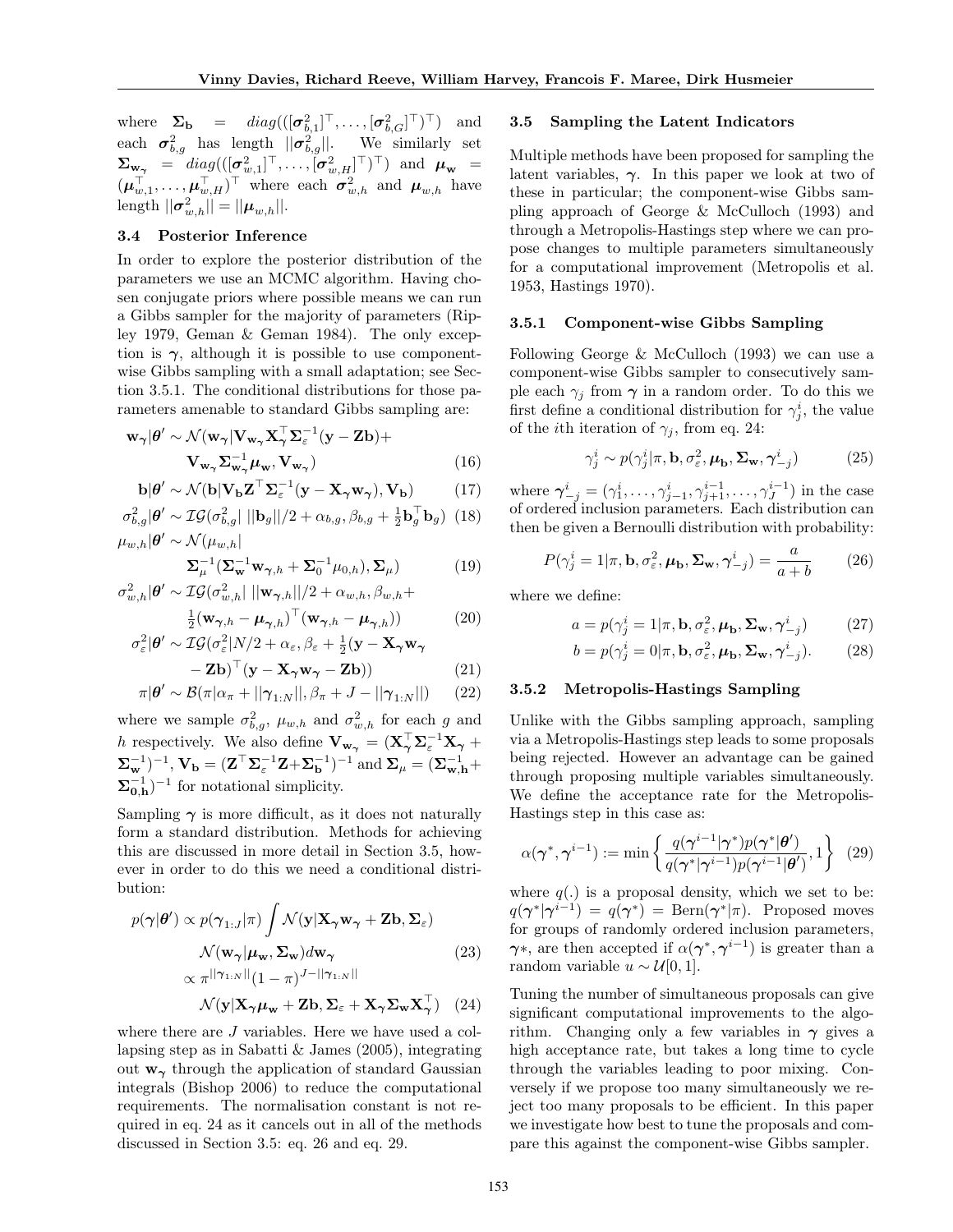where  $\mathbf{\Sigma}_{\mathbf{b}} = diag(([\boldsymbol{\sigma}_{b,1}^2]^{\top}, \dots, [\boldsymbol{\sigma}_{b,G}^2]^{\top})^{\top})$  and each  $\sigma_{b,g}^2$  has length  $\|\sigma_{b,g}^2\|$ . We similarly set  $\boldsymbol{\Sigma}_{\mathbf{w}_{\boldsymbol{\gamma}}} \;\; = \;\; diag(([\boldsymbol{\sigma}_{w,1}^2]^\top,\ldots,[\boldsymbol{\sigma}_{w,H}^2]^\top)^\top) \;\; \text{and} \;\; \boldsymbol{\mu}_{\mathbf{w}} \;\; = \;\;$  $(\boldsymbol{\mu}_{w,1}^{\top}, \ldots, \boldsymbol{\mu}_{w,H}^{\top})^{\top}$  where each  $\boldsymbol{\sigma}_{w,h}^2$  and  $\boldsymbol{\mu}_{w,h}$  have length  $||\boldsymbol{\sigma}_{w,h}^2|| = ||\boldsymbol{\mu}_{w,h}||.$ 

#### 3.4 Posterior Inference

In order to explore the posterior distribution of the parameters we use an MCMC algorithm. Having chosen conjugate priors where possible means we can run a Gibbs sampler for the majority of parameters (Ripley 1979, Geman & Geman 1984). The only exception is  $\gamma$ , although it is possible to use componentwise Gibbs sampling with a small adaptation; see Section 3.5.1. The conditional distributions for those parameters amenable to standard Gibbs sampling are:

$$
\mathbf{w}_{\gamma} | \boldsymbol{\theta}' \sim \mathcal{N}(\mathbf{w}_{\gamma} | \mathbf{V}_{\mathbf{w}_{\gamma}} \mathbf{X}_{\gamma}^{\top} \mathbf{\Sigma}_{\varepsilon}^{-1} (\mathbf{y} - \mathbf{Z} \mathbf{b}) + \mathbf{V}_{\mathbf{w}_{\gamma}} \mathbf{\Sigma}_{\mathbf{w}_{\gamma}}^{-1} \boldsymbol{\mu}_{\mathbf{w}}, \mathbf{V}_{\mathbf{w}_{\gamma}})
$$
(16)

$$
\mathbf{b}|\boldsymbol{\theta}' \sim \mathcal{N}(\mathbf{b}|\mathbf{V}_{\mathbf{b}}\mathbf{Z}^{\top}\mathbf{\Sigma}_{\varepsilon}^{-1}(\mathbf{y}-\mathbf{X}_{\gamma}\mathbf{w}_{\gamma}), \mathbf{V}_{\mathbf{b}}) \tag{17}
$$

$$
\sigma_{b,g}^2 |\boldsymbol{\theta}' \sim \mathcal{IG}(\sigma_{b,g}^2| \, ||\mathbf{b}_g||/2 + \alpha_{b,g}, \beta_{b,g} + \frac{1}{2} \mathbf{b}_g^\top \mathbf{b}_g)
$$
 (18)  

$$
\mu_{w,h} |\boldsymbol{\theta}' \sim \mathcal{N}(\mu_{w,h}|
$$

$$
\Sigma_{\mu}^{-1} \left( \Sigma_{\mathbf{w}}^{-1} \mathbf{w}_{\gamma,h} + \Sigma_{0}^{-1} \mu_{0,h} \right), \Sigma_{\mu} \right)
$$
(19)

$$
\sigma_{w,h}^2 |\boldsymbol{\theta}' \sim \mathcal{IG}(\sigma_{w,h}^2 || \|\mathbf{w}_{\boldsymbol{\gamma},h}\| / 2 + \alpha_{w,h}, \beta_{w,h} + \frac{1}{2} (\mathbf{w}_{\boldsymbol{\gamma},h} - \boldsymbol{\mu}_{\boldsymbol{\gamma},h})^\top (\mathbf{w}_{\boldsymbol{\gamma},h} - \boldsymbol{\mu}_{\boldsymbol{\gamma},h}))
$$
(20)

$$
\sigma_{\varepsilon}^{2}|\boldsymbol{\theta}' \sim \mathcal{IG}(\sigma_{\varepsilon}^{2}|N/2 + \alpha_{\varepsilon}, \beta_{\varepsilon} + \frac{1}{2}(\mathbf{y} - \mathbf{X}_{\gamma}\mathbf{w}_{\gamma})
$$

$$
-Z\mathbf{b})^{\top}(\mathbf{y} - \mathbf{X}_{\gamma}\mathbf{w}_{\gamma} - \mathbf{Z}\mathbf{b}))
$$
 (21)

$$
\pi|\boldsymbol{\theta}' \sim \mathcal{B}(\pi|\alpha_{\pi} + ||\boldsymbol{\gamma}_{1:N}||, \beta_{\pi} + J - ||\boldsymbol{\gamma}_{1:N}||) \qquad (22)
$$

where we sample  $\sigma_{b,g}^2$ ,  $\mu_{w,h}$  and  $\sigma_{w,h}^2$  for each g and h respectively. We also define  $V_{w_{\gamma}} = (X_{\gamma}^{\top} \Sigma_{\varepsilon}^{-1} X_{\gamma} +$  $(\boldsymbol{\Sigma}_{\mathbf{w}}^{-1})^{-1},\,\mathbf{V}_{\mathbf{b}}=(\mathbf{Z}^{\top}\boldsymbol{\Sigma}_{\varepsilon}^{-1}\mathbf{Z}+\boldsymbol{\Sigma}_{\mathbf{b}}^{-1})^{-1}$  and  $\boldsymbol{\Sigma}_{\mu}=(\boldsymbol{\Sigma}_{\mathbf{w},\mathbf{h}}^{-1}+\boldsymbol{\Sigma}_{\mathbf{b}}^{-1})^{-1}$  $\mathbf{\Sigma}_{0,\mathbf{h}}^{-1}$  for notational simplicity.

Sampling  $\gamma$  is more difficult, as it does not naturally form a standard distribution. Methods for achieving this are discussed in more detail in Section 3.5, however in order to do this we need a conditional distribution:

$$
p(\gamma|\theta') \propto p(\gamma_{1:J}|\pi) \int \mathcal{N}(\mathbf{y}|\mathbf{X}_{\gamma}\mathbf{w}_{\gamma} + \mathbf{Z}\mathbf{b}, \mathbf{\Sigma}_{\varepsilon})
$$

$$
\mathcal{N}(\mathbf{w}_{\gamma}|\boldsymbol{\mu}_{\mathbf{w}}, \mathbf{\Sigma}_{\mathbf{w}})d\mathbf{w}_{\gamma}
$$

$$
\propto \pi^{||\gamma_{1:N}||} (1-\pi)^{J-||\gamma_{1:N}||}
$$
(23)

$$
\mathcal{N}(\mathbf{y}|\mathbf{X}_{\boldsymbol{\gamma}}\boldsymbol{\mu}_{\mathbf{w}} + \mathbf{Z}\mathbf{b}, \boldsymbol{\Sigma}_{\varepsilon} + \mathbf{X}_{\boldsymbol{\gamma}}\boldsymbol{\Sigma}_{\mathbf{w}}\mathbf{X}_{\boldsymbol{\gamma}}^{\top}) \quad (24)
$$

where there are *J* variables. Here we have used a collapsing step as in Sabatti & James (2005), integrating out  $w_{\gamma}$  through the application of standard Gaussian integrals (Bishop 2006) to reduce the computational requirements. The normalisation constant is not required in eq. 24 as it cancels out in all of the methods discussed in Section 3.5: eq. 26 and eq. 29.

#### 3.5 Sampling the Latent Indicators

Multiple methods have been proposed for sampling the latent variables,  $\gamma$ . In this paper we look at two of these in particular; the component-wise Gibbs sampling approach of George & McCulloch (1993) and through a Metropolis-Hastings step where we can propose changes to multiple parameters simultaneously for a computational improvement (Metropolis et al. 1953, Hastings 1970).

#### 3.5.1 Component-wise Gibbs Sampling

Following George & McCulloch (1993) we can use a component-wise Gibbs sampler to consecutively sample each  $\gamma_j$  from  $\gamma$  in a random order. To do this we first define a conditional distribution for  $\gamma_j^i$ , the value of the *i*th iteration of  $\gamma_i$ , from eq. 24:

$$
\gamma_j^i \sim p(\gamma_j^i | \pi, \mathbf{b}, \sigma_\varepsilon^2, \boldsymbol{\mu}_\mathbf{b}, \boldsymbol{\Sigma}_\mathbf{w}, \boldsymbol{\gamma}_{-j}^i)
$$
 (25)

where  $\boldsymbol{\gamma}_{-j}^i = (\gamma_1^i, \ldots, \gamma_{j-1}^i, \gamma_{j+1}^{i-1}, \ldots, \gamma_J^{i-1})$  in the case of ordered inclusion parameters. Each distribution can then be given a Bernoulli distribution with probability:

$$
P(\gamma_j^i = 1 | \pi, \mathbf{b}, \sigma_\varepsilon^2, \boldsymbol{\mu}_\mathbf{b}, \boldsymbol{\Sigma}_\mathbf{w}, \boldsymbol{\gamma}_{-j}^i) = \frac{a}{a+b} \qquad (26)
$$

where we define:

$$
a = p(\gamma_j^i = 1 | \pi, \mathbf{b}, \sigma_\varepsilon^2, \boldsymbol{\mu}_\mathbf{b}, \boldsymbol{\Sigma}_\mathbf{w}, \boldsymbol{\gamma}_{-j}^i)
$$
(27)

$$
b = p(\gamma_j^i = 0 | \pi, \mathbf{b}, \sigma_\varepsilon^2, \boldsymbol{\mu}_\mathbf{b}, \boldsymbol{\Sigma}_\mathbf{w}, \boldsymbol{\gamma}_{-j}^i). \tag{28}
$$

#### 3.5.2 Metropolis-Hastings Sampling

Unlike with the Gibbs sampling approach, sampling via a Metropolis-Hastings step leads to some proposals being rejected. However an advantage can be gained through proposing multiple variables simultaneously. We define the acceptance rate for the Metropolis-Hastings step in this case as:

$$
\alpha(\boldsymbol{\gamma}^*, \boldsymbol{\gamma}^{i-1}) := \min\left\{ \frac{q(\boldsymbol{\gamma}^{i-1}|\boldsymbol{\gamma}^*)p(\boldsymbol{\gamma}^*|\boldsymbol{\theta}')}{q(\boldsymbol{\gamma}^*|\boldsymbol{\gamma}^{i-1})p(\boldsymbol{\gamma}^{i-1}|\boldsymbol{\theta}')}, 1 \right\} \tag{29}
$$

where  $q(.)$  is a proposal density, which we set to be:  $q(\boldsymbol{\gamma}^*|\boldsymbol{\gamma}^{i-1}) = q(\boldsymbol{\gamma}^*) = \text{Bern}(\boldsymbol{\gamma}^*|\pi)$ . Proposed moves for groups of randomly ordered inclusion parameters,  $\gamma^*$ , are then accepted if  $\alpha(\gamma^*, \gamma^{i-1})$  is greater than a random variable  $u \sim \mathcal{U}[0, 1].$ 

Tuning the number of simultaneous proposals can give significant computational improvements to the algorithm. Changing only a few variables in  $\gamma$  gives a high acceptance rate, but takes a long time to cycle through the variables leading to poor mixing. Conversely if we propose too many simultaneously we reject too many proposals to be efficient. In this paper we investigate how best to tune the proposals and compare this against the component-wise Gibbs sampler.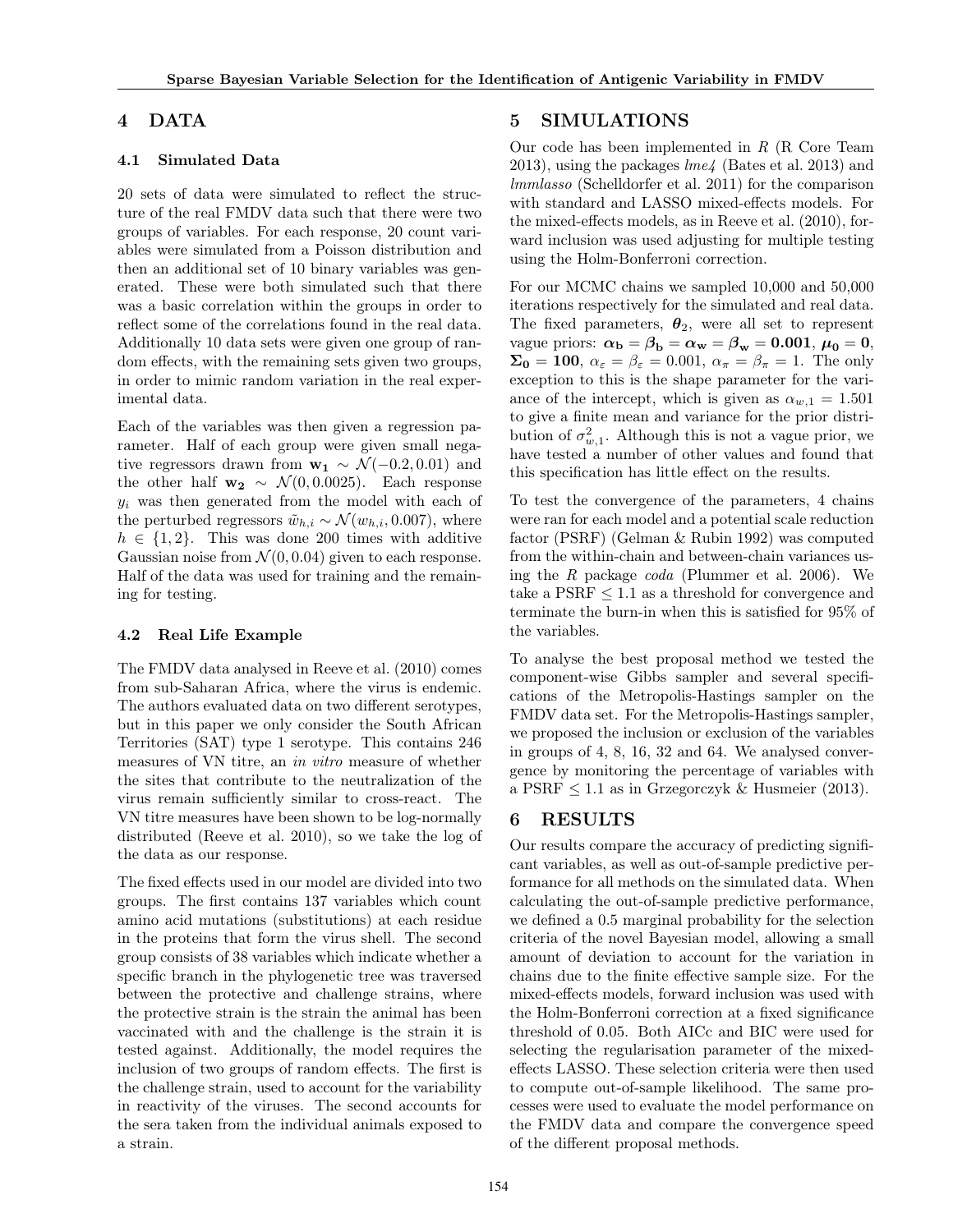## 4 DATA

#### 4.1 Simulated Data

20 sets of data were simulated to reflect the structure of the real FMDV data such that there were two groups of variables. For each response, 20 count variables were simulated from a Poisson distribution and then an additional set of 10 binary variables was generated. These were both simulated such that there was a basic correlation within the groups in order to reflect some of the correlations found in the real data. Additionally 10 data sets were given one group of random effects, with the remaining sets given two groups, in order to mimic random variation in the real experimental data.

Each of the variables was then given a regression parameter. Half of each group were given small negative regressors drawn from  $\mathbf{w}_1 \sim \mathcal{N}(-0.2, 0.01)$  and the other half  $w_2 \sim \mathcal{N}(0, 0.0025)$ . Each response  $y_i$  was then generated from the model with each of the perturbed regressors  $\tilde{w}_{h,i} \sim \mathcal{N}(w_{h,i}, 0.007)$ , where  $h \in \{1, 2\}$ . This was done 200 times with additive Gaussian noise from  $\mathcal{N}(0, 0.04)$  given to each response. Half of the data was used for training and the remaining for testing.

#### 4.2 Real Life Example

The FMDV data analysed in Reeve et al. (2010) comes from sub-Saharan Africa, where the virus is endemic. The authors evaluated data on two different serotypes, but in this paper we only consider the South African Territories (SAT) type 1 serotype. This contains 246 measures of VN titre, an in vitro measure of whether the sites that contribute to the neutralization of the virus remain sufficiently similar to cross-react. The VN titre measures have been shown to be log-normally distributed (Reeve et al. 2010), so we take the log of the data as our response.

The fixed effects used in our model are divided into two groups. The first contains 137 variables which count amino acid mutations (substitutions) at each residue in the proteins that form the virus shell. The second group consists of 38 variables which indicate whether a specific branch in the phylogenetic tree was traversed between the protective and challenge strains, where the protective strain is the strain the animal has been vaccinated with and the challenge is the strain it is tested against. Additionally, the model requires the inclusion of two groups of random effects. The first is the challenge strain, used to account for the variability in reactivity of the viruses. The second accounts for the sera taken from the individual animals exposed to a strain.

## 5 SIMULATIONS

Our code has been implemented in R (R Core Team 2013), using the packages  $lme4$  (Bates et al. 2013) and lmmlasso (Schelldorfer et al. 2011) for the comparison with standard and LASSO mixed-effects models. For the mixed-effects models, as in Reeve et al. (2010), forward inclusion was used adjusting for multiple testing using the Holm-Bonferroni correction.

For our MCMC chains we sampled 10,000 and 50,000 iterations respectively for the simulated and real data. The fixed parameters,  $\boldsymbol{\theta}_2$ , were all set to represent vague priors:  $\alpha_{\rm b} = \beta_{\rm b} = \alpha_{\rm w} = \beta_{\rm w} = 0.001, \mu_0 = 0,$  $\Sigma_0 = 100$ ,  $\alpha_{\varepsilon} = \beta_{\varepsilon} = 0.001$ ,  $\alpha_{\pi} = \beta_{\pi} = 1$ . The only exception to this is the shape parameter for the variance of the intercept, which is given as  $\alpha_{w,1} = 1.501$ to give a finite mean and variance for the prior distribution of  $\sigma_{w,1}^2$ . Although this is not a vague prior, we have tested a number of other values and found that this specification has little effect on the results.

To test the convergence of the parameters, 4 chains were ran for each model and a potential scale reduction factor (PSRF) (Gelman & Rubin 1992) was computed from the within-chain and between-chain variances using the  $R$  package *coda* (Plummer et al. 2006). We take a PSRF ≤ 1.1 as a threshold for convergence and terminate the burn-in when this is satisfied for 95% of the variables.

To analyse the best proposal method we tested the component-wise Gibbs sampler and several specifications of the Metropolis-Hastings sampler on the FMDV data set. For the Metropolis-Hastings sampler, we proposed the inclusion or exclusion of the variables in groups of 4, 8, 16, 32 and 64. We analysed convergence by monitoring the percentage of variables with a PSRF  $\leq 1.1$  as in Grzegorczyk & Husmeier (2013).

### 6 RESULTS

Our results compare the accuracy of predicting significant variables, as well as out-of-sample predictive performance for all methods on the simulated data. When calculating the out-of-sample predictive performance, we defined a 0.5 marginal probability for the selection criteria of the novel Bayesian model, allowing a small amount of deviation to account for the variation in chains due to the finite effective sample size. For the mixed-effects models, forward inclusion was used with the Holm-Bonferroni correction at a fixed significance threshold of 0.05. Both AICc and BIC were used for selecting the regularisation parameter of the mixedeffects LASSO. These selection criteria were then used to compute out-of-sample likelihood. The same processes were used to evaluate the model performance on the FMDV data and compare the convergence speed of the different proposal methods.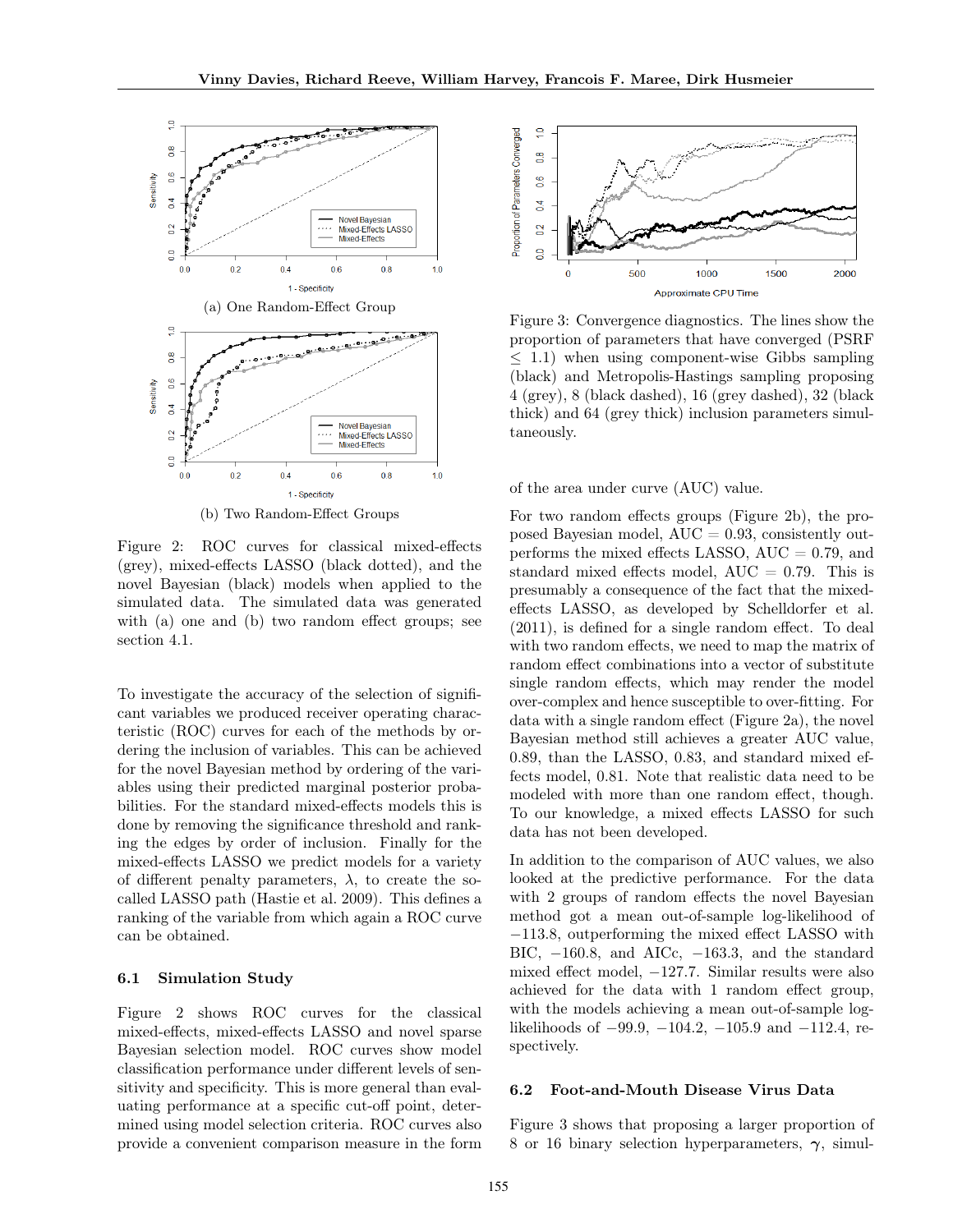

(b) Two Random-Effect Groups

Figure 2: ROC curves for classical mixed-effects (grey), mixed-effects LASSO (black dotted), and the novel Bayesian (black) models when applied to the simulated data. The simulated data was generated with (a) one and (b) two random effect groups; see section 4.1.

To investigate the accuracy of the selection of significant variables we produced receiver operating characteristic (ROC) curves for each of the methods by ordering the inclusion of variables. This can be achieved for the novel Bayesian method by ordering of the variables using their predicted marginal posterior probabilities. For the standard mixed-effects models this is done by removing the significance threshold and ranking the edges by order of inclusion. Finally for the mixed-effects LASSO we predict models for a variety of different penalty parameters,  $\lambda$ , to create the socalled LASSO path (Hastie et al. 2009). This defines a ranking of the variable from which again a ROC curve can be obtained.

#### 6.1 Simulation Study

Figure 2 shows ROC curves for the classical mixed-effects, mixed-effects LASSO and novel sparse Bayesian selection model. ROC curves show model classification performance under different levels of sensitivity and specificity. This is more general than evaluating performance at a specific cut-off point, determined using model selection criteria. ROC curves also provide a convenient comparison measure in the form



Figure 3: Convergence diagnostics. The lines show the proportion of parameters that have converged (PSRF ≤ 1.1) when using component-wise Gibbs sampling (black) and Metropolis-Hastings sampling proposing 4 (grey), 8 (black dashed), 16 (grey dashed), 32 (black thick) and 64 (grey thick) inclusion parameters simultaneously.

of the area under curve (AUC) value.

For two random effects groups (Figure 2b), the proposed Bayesian model,  $AUC = 0.93$ , consistently outperforms the mixed effects LASSO,  $AUC = 0.79$ , and standard mixed effects model,  $AUC = 0.79$ . This is presumably a consequence of the fact that the mixedeffects LASSO, as developed by Schelldorfer et al. (2011), is defined for a single random effect. To deal with two random effects, we need to map the matrix of random effect combinations into a vector of substitute single random effects, which may render the model over-complex and hence susceptible to over-fitting. For data with a single random effect (Figure 2a), the novel Bayesian method still achieves a greater AUC value, 0.89, than the LASSO, 0.83, and standard mixed effects model, 0.81. Note that realistic data need to be modeled with more than one random effect, though. To our knowledge, a mixed effects LASSO for such data has not been developed.

In addition to the comparison of AUC values, we also looked at the predictive performance. For the data with 2 groups of random effects the novel Bayesian method got a mean out-of-sample log-likelihood of −113.8, outperforming the mixed effect LASSO with BIC, −160.8, and AICc, −163.3, and the standard mixed effect model, −127.7. Similar results were also achieved for the data with 1 random effect group, with the models achieving a mean out-of-sample loglikelihoods of −99.9, −104.2, −105.9 and −112.4, respectively.

#### 6.2 Foot-and-Mouth Disease Virus Data

Figure 3 shows that proposing a larger proportion of 8 or 16 binary selection hyperparameters,  $\gamma$ , simul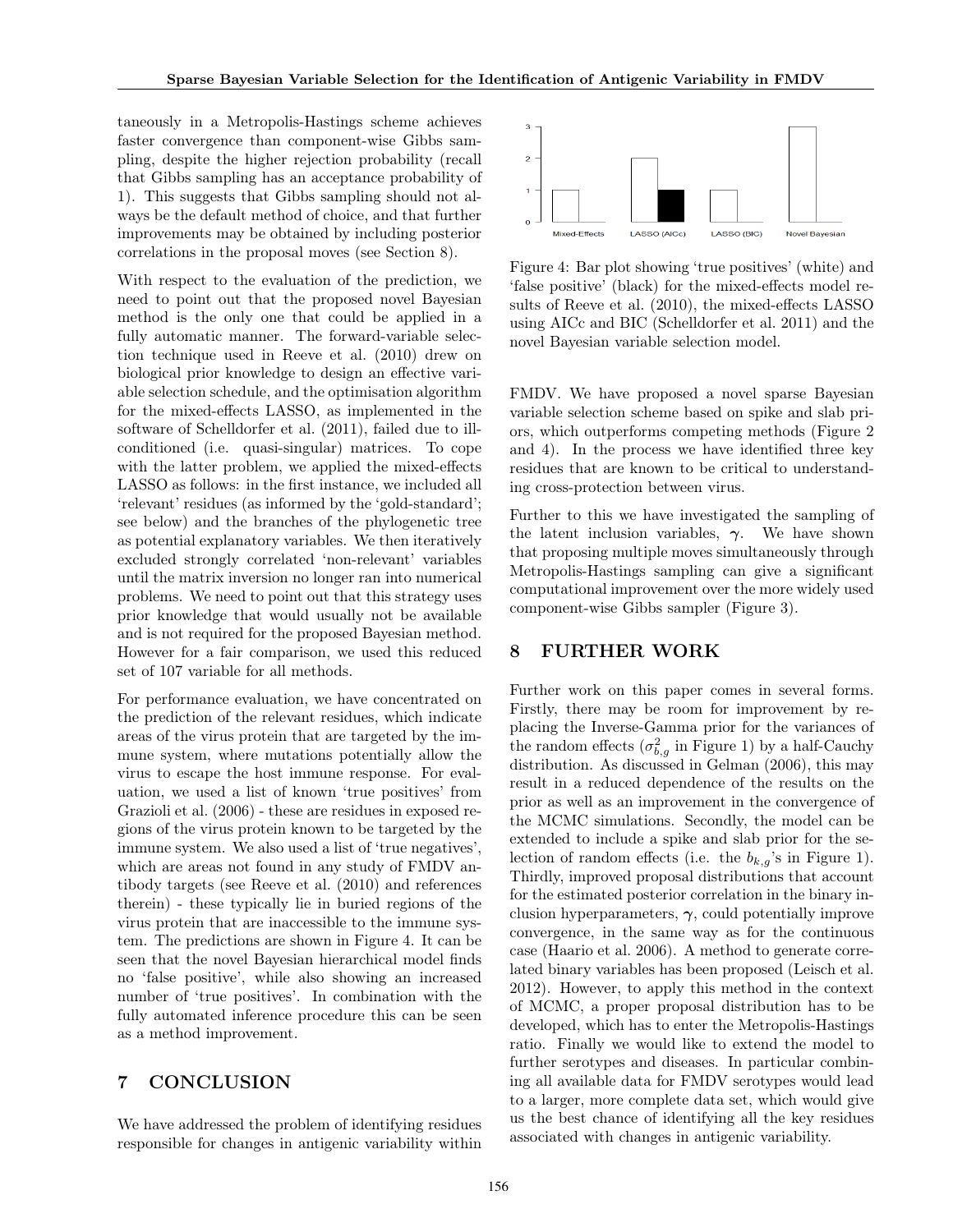taneously in a Metropolis-Hastings scheme achieves faster convergence than component-wise Gibbs sampling, despite the higher rejection probability (recall that Gibbs sampling has an acceptance probability of 1). This suggests that Gibbs sampling should not always be the default method of choice, and that further improvements may be obtained by including posterior correlations in the proposal moves (see Section 8).

With respect to the evaluation of the prediction, we need to point out that the proposed novel Bayesian method is the only one that could be applied in a fully automatic manner. The forward-variable selection technique used in Reeve et al. (2010) drew on biological prior knowledge to design an effective variable selection schedule, and the optimisation algorithm for the mixed-effects LASSO, as implemented in the software of Schelldorfer et al. (2011), failed due to illconditioned (i.e. quasi-singular) matrices. To cope with the latter problem, we applied the mixed-effects LASSO as follows: in the first instance, we included all 'relevant' residues (as informed by the 'gold-standard'; see below) and the branches of the phylogenetic tree as potential explanatory variables. We then iteratively excluded strongly correlated 'non-relevant' variables until the matrix inversion no longer ran into numerical problems. We need to point out that this strategy uses prior knowledge that would usually not be available and is not required for the proposed Bayesian method. However for a fair comparison, we used this reduced set of 107 variable for all methods.

For performance evaluation, we have concentrated on the prediction of the relevant residues, which indicate areas of the virus protein that are targeted by the immune system, where mutations potentially allow the virus to escape the host immune response. For evaluation, we used a list of known 'true positives' from Grazioli et al. (2006) - these are residues in exposed regions of the virus protein known to be targeted by the immune system. We also used a list of 'true negatives', which are areas not found in any study of FMDV antibody targets (see Reeve et al. (2010) and references therein) - these typically lie in buried regions of the virus protein that are inaccessible to the immune system. The predictions are shown in Figure 4. It can be seen that the novel Bayesian hierarchical model finds no 'false positive', while also showing an increased number of 'true positives'. In combination with the fully automated inference procedure this can be seen as a method improvement.

## 7 CONCLUSION

We have addressed the problem of identifying residues responsible for changes in antigenic variability within



Figure 4: Bar plot showing 'true positives' (white) and 'false positive' (black) for the mixed-effects model results of Reeve et al. (2010), the mixed-effects LASSO using AICc and BIC (Schelldorfer et al. 2011) and the novel Bayesian variable selection model.

FMDV. We have proposed a novel sparse Bayesian variable selection scheme based on spike and slab priors, which outperforms competing methods (Figure 2 and 4). In the process we have identified three key residues that are known to be critical to understanding cross-protection between virus.

Further to this we have investigated the sampling of the latent inclusion variables,  $\gamma$ . We have shown that proposing multiple moves simultaneously through Metropolis-Hastings sampling can give a significant computational improvement over the more widely used component-wise Gibbs sampler (Figure 3).

## 8 FURTHER WORK

Further work on this paper comes in several forms. Firstly, there may be room for improvement by replacing the Inverse-Gamma prior for the variances of the random effects  $(\sigma_{b,g}^2)$  in Figure 1) by a half-Cauchy distribution. As discussed in Gelman (2006), this may result in a reduced dependence of the results on the prior as well as an improvement in the convergence of the MCMC simulations. Secondly, the model can be extended to include a spike and slab prior for the selection of random effects (i.e. the  $b_{k,g}$ 's in Figure 1). Thirdly, improved proposal distributions that account for the estimated posterior correlation in the binary inclusion hyperparameters,  $\gamma$ , could potentially improve convergence, in the same way as for the continuous case (Haario et al. 2006). A method to generate correlated binary variables has been proposed (Leisch et al. 2012). However, to apply this method in the context of MCMC, a proper proposal distribution has to be developed, which has to enter the Metropolis-Hastings ratio. Finally we would like to extend the model to further serotypes and diseases. In particular combining all available data for FMDV serotypes would lead to a larger, more complete data set, which would give us the best chance of identifying all the key residues associated with changes in antigenic variability.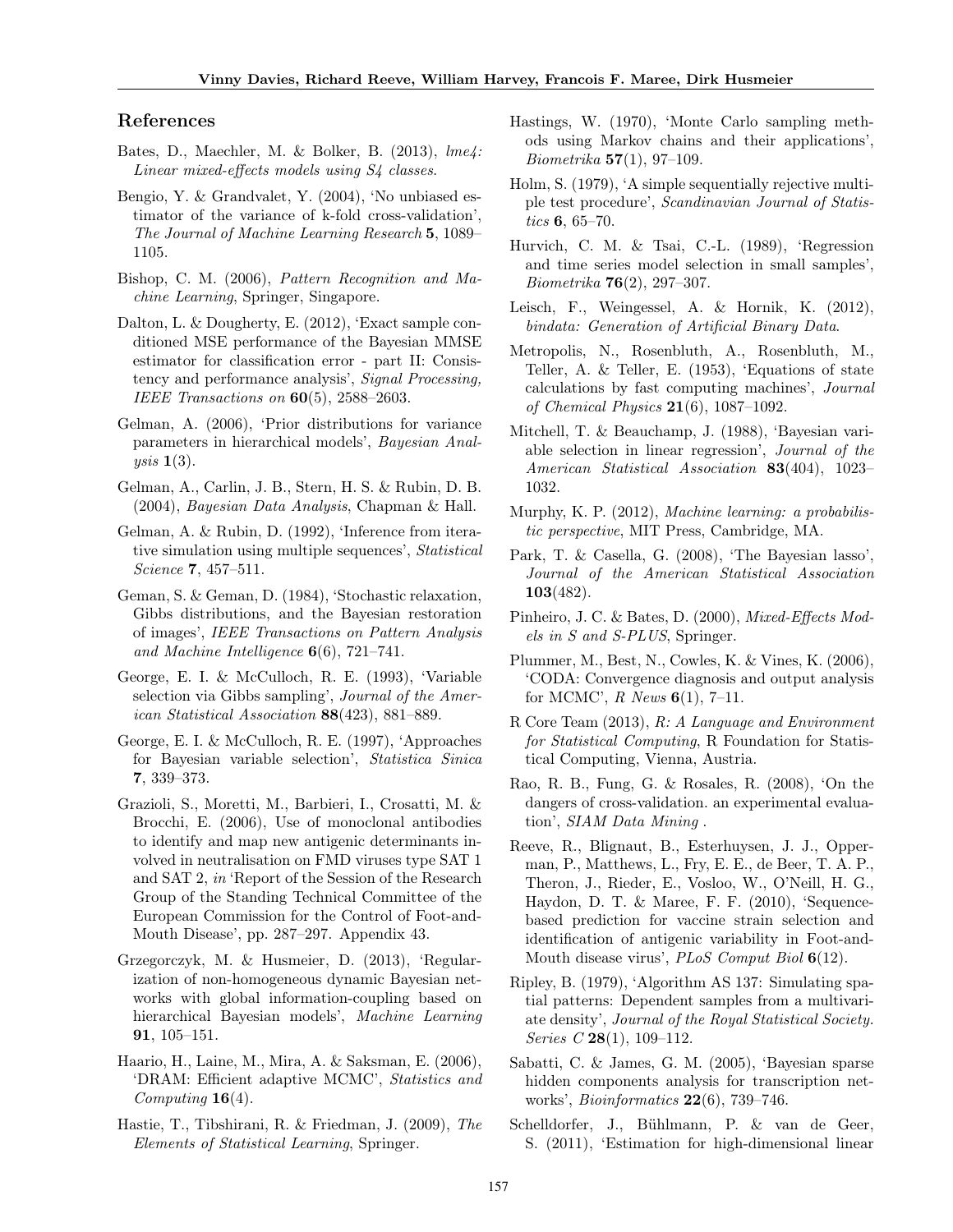## References

- Bates, D., Maechler, M. & Bolker, B. (2013), lme4: Linear mixed-effects models using S4 classes.
- Bengio, Y. & Grandvalet, Y. (2004), 'No unbiased estimator of the variance of k-fold cross-validation', The Journal of Machine Learning Research 5, 1089– 1105.
- Bishop, C. M. (2006), Pattern Recognition and Machine Learning, Springer, Singapore.
- Dalton, L. & Dougherty, E. (2012), 'Exact sample conditioned MSE performance of the Bayesian MMSE estimator for classification error - part II: Consistency and performance analysis', Signal Processing, IEEE Transactions on  $60(5)$ , 2588-2603.
- Gelman, A. (2006), 'Prior distributions for variance parameters in hierarchical models', Bayesian Analysis  $1(3)$ .
- Gelman, A., Carlin, J. B., Stern, H. S. & Rubin, D. B. (2004), Bayesian Data Analysis, Chapman & Hall.
- Gelman, A. & Rubin, D. (1992), 'Inference from iterative simulation using multiple sequences', Statistical Science 7, 457–511.
- Geman, S. & Geman, D. (1984), 'Stochastic relaxation, Gibbs distributions, and the Bayesian restoration of images', IEEE Transactions on Pattern Analysis and Machine Intelligence  $6(6)$ , 721–741.
- George, E. I. & McCulloch, R. E. (1993), 'Variable selection via Gibbs sampling', Journal of the American Statistical Association 88(423), 881–889.
- George, E. I. & McCulloch, R. E. (1997), 'Approaches for Bayesian variable selection', Statistica Sinica 7, 339–373.
- Grazioli, S., Moretti, M., Barbieri, I., Crosatti, M. & Brocchi, E. (2006), Use of monoclonal antibodies to identify and map new antigenic determinants involved in neutralisation on FMD viruses type SAT 1 and SAT 2, in 'Report of the Session of the Research Group of the Standing Technical Committee of the European Commission for the Control of Foot-and-Mouth Disease', pp. 287–297. Appendix 43.
- Grzegorczyk, M. & Husmeier, D. (2013), 'Regularization of non-homogeneous dynamic Bayesian networks with global information-coupling based on hierarchical Bayesian models', Machine Learning 91, 105–151.
- Haario, H., Laine, M., Mira, A. & Saksman, E. (2006), 'DRAM: Efficient adaptive MCMC', Statistics and  $Computing 16(4)$ .
- Hastie, T., Tibshirani, R. & Friedman, J. (2009), The Elements of Statistical Learning, Springer.
- Hastings, W. (1970), 'Monte Carlo sampling methods using Markov chains and their applications', *Biometrika*  $57(1)$ , 97-109.
- Holm, S. (1979), 'A simple sequentially rejective multiple test procedure', Scandinavian Journal of Statistics 6, 65–70.
- Hurvich, C. M. & Tsai, C.-L. (1989), 'Regression and time series model selection in small samples', Biometrika 76(2), 297–307.
- Leisch, F., Weingessel, A. & Hornik, K. (2012), bindata: Generation of Artificial Binary Data.
- Metropolis, N., Rosenbluth, A., Rosenbluth, M., Teller, A. & Teller, E. (1953), 'Equations of state calculations by fast computing machines', Journal of Chemical Physics  $21(6)$ , 1087-1092.
- Mitchell, T. & Beauchamp, J. (1988), 'Bayesian variable selection in linear regression', Journal of the American Statistical Association 83(404), 1023– 1032.
- Murphy, K. P. (2012), Machine learning: a probabilistic perspective, MIT Press, Cambridge, MA.
- Park, T. & Casella, G. (2008), 'The Bayesian lasso', Journal of the American Statistical Association 103(482).
- Pinheiro, J. C. & Bates, D. (2000), Mixed-Effects Models in S and S-PLUS, Springer.
- Plummer, M., Best, N., Cowles, K. & Vines, K. (2006), 'CODA: Convergence diagnosis and output analysis for MCMC',  $R$  News  $6(1)$ , 7-11.
- R Core Team (2013), R: A Language and Environment for Statistical Computing, R Foundation for Statistical Computing, Vienna, Austria.
- Rao, R. B., Fung, G. & Rosales, R. (2008), 'On the dangers of cross-validation. an experimental evaluation', SIAM Data Mining .
- Reeve, R., Blignaut, B., Esterhuysen, J. J., Opperman, P., Matthews, L., Fry, E. E., de Beer, T. A. P., Theron, J., Rieder, E., Vosloo, W., O'Neill, H. G., Haydon, D. T. & Maree, F. F. (2010), 'Sequencebased prediction for vaccine strain selection and identification of antigenic variability in Foot-and-Mouth disease virus', PLoS Comput Biol 6(12).
- Ripley, B. (1979), 'Algorithm AS 137: Simulating spatial patterns: Dependent samples from a multivariate density', Journal of the Royal Statistical Society. Series C  $28(1)$ , 109-112.
- Sabatti, C. & James, G. M. (2005), 'Bayesian sparse hidden components analysis for transcription networks', Bioinformatics 22(6), 739–746.
- Schelldorfer, J., Bühlmann, P. & van de Geer, S. (2011), 'Estimation for high-dimensional linear